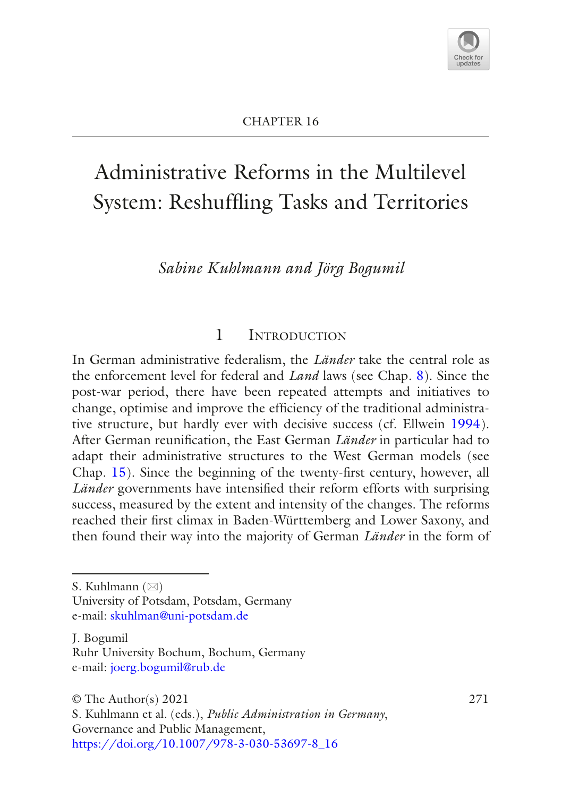

# Administrative Reforms in the Multilevel System: Reshuffing Tasks and Territories

*Sabine Kuhlmann and Jörg Bogumil*

### 1 Introduction

In German administrative federalism, the *Länder* take the central role as the enforcement level for federal and *Land* laws (see Chap. [8\)](https://doi.org/10.1007/978-3-030-53697-8_8). Since the post-war period, there have been repeated attempts and initiatives to change, optimise and improve the effciency of the traditional administrative structure, but hardly ever with decisive success (cf. Ellwein [1994](#page-17-0)). After German reunifcation, the East German *Länder* in particular had to adapt their administrative structures to the West German models (see Chap. [15](https://doi.org/10.1007/978-3-030-53697-8_15)). Since the beginning of the twenty-frst century, however, all *Länder* governments have intensifed their reform efforts with surprising success, measured by the extent and intensity of the changes. The reforms reached their frst climax in Baden-Württemberg and Lower Saxony, and then found their way into the majority of German *Länder* in the form of

S. Kuhlmann  $(\boxtimes)$ 

University of Potsdam, Potsdam, Germany e-mail: [skuhlman@uni-potsdam.de](mailto:skuhlman@uni-potsdam.de)

J. Bogumil Ruhr University Bochum, Bochum, Germany e-mail: [joerg.bogumil@rub.de](mailto:joerg.bogumil@rub.de)

 $\odot$  The Author(s) 2021 271

S. Kuhlmann et al. (eds.), *Public Administration in Germany*, Governance and Public Management, [https://doi.org/10.1007/978-3-030-53697-8\\_16](https://doi.org/10.1007/978-3-030-53697-8_16#DOI)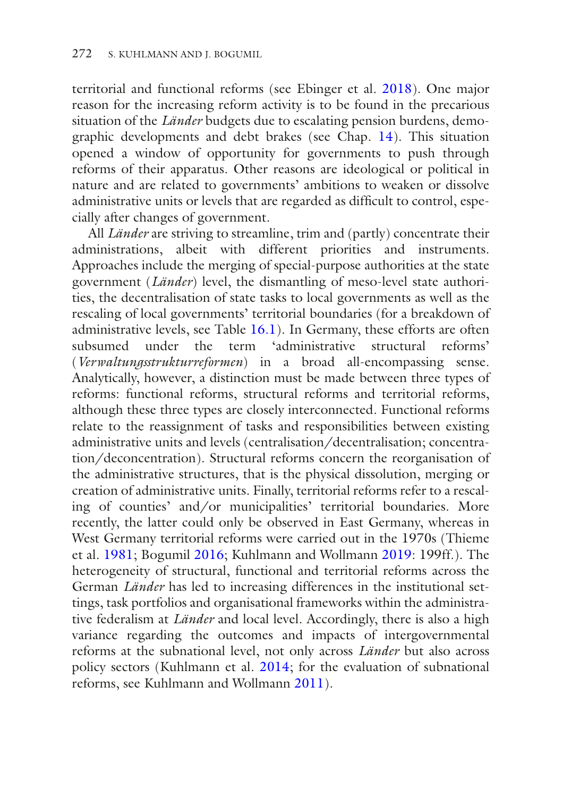territorial and functional reforms (see Ebinger et al. [2018\)](#page-17-1). One major reason for the increasing reform activity is to be found in the precarious situation of the *Länder* budgets due to escalating pension burdens, demographic developments and debt brakes (see Chap. [14\)](https://doi.org/10.1007/978-3-030-53697-8_14). This situation opened a window of opportunity for governments to push through reforms of their apparatus. Other reasons are ideological or political in nature and are related to governments' ambitions to weaken or dissolve administrative units or levels that are regarded as diffcult to control, especially after changes of government.

All *Länder* are striving to streamline, trim and (partly) concentrate their administrations, albeit with different priorities and instruments. Approaches include the merging of special-purpose authorities at the state government (*Länder*) level, the dismantling of meso-level state authorities, the decentralisation of state tasks to local governments as well as the rescaling of local governments' territorial boundaries (for a breakdown of administrative levels, see Table [16.1](#page-2-0)). In Germany, these efforts are often subsumed under the term 'administrative structural reforms' (*Verwaltungsstrukturreformen*) in a broad all-encompassing sense. Analytically, however, a distinction must be made between three types of reforms: functional reforms, structural reforms and territorial reforms, although these three types are closely interconnected. Functional reforms relate to the reassignment of tasks and responsibilities between existing administrative units and levels (centralisation/decentralisation; concentration/deconcentration). Structural reforms concern the reorganisation of the administrative structures, that is the physical dissolution, merging or creation of administrative units. Finally, territorial reforms refer to a rescaling of counties' and/or municipalities' territorial boundaries. More recently, the latter could only be observed in East Germany, whereas in West Germany territorial reforms were carried out in the 1970s (Thieme et al. [1981;](#page-18-0) Bogumil [2016](#page-16-0); Kuhlmann and Wollmann [2019:](#page-17-2) 199ff.). The heterogeneity of structural, functional and territorial reforms across the German *Länder* has led to increasing differences in the institutional settings, task portfolios and organisational frameworks within the administrative federalism at *Länder* and local level. Accordingly, there is also a high variance regarding the outcomes and impacts of intergovernmental reforms at the subnational level, not only across *Länder* but also across policy sectors (Kuhlmann et al. [2014](#page-17-3); for the evaluation of subnational reforms, see Kuhlmann and Wollmann [2011](#page-17-4)).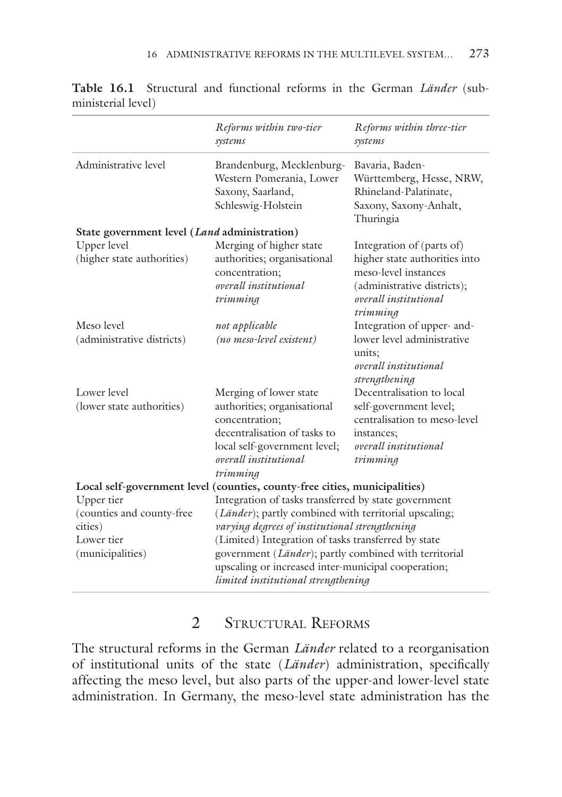|                                                                                      | Reforms within two-tier<br>systems                                                                                                                                                                                                                                                                                                                                                     | Reforms within three-tier<br>systems                                                                                                                   |
|--------------------------------------------------------------------------------------|----------------------------------------------------------------------------------------------------------------------------------------------------------------------------------------------------------------------------------------------------------------------------------------------------------------------------------------------------------------------------------------|--------------------------------------------------------------------------------------------------------------------------------------------------------|
| Administrative level                                                                 | Brandenburg, Mecklenburg-<br>Western Pomerania, Lower<br>Saxony, Saarland,<br>Schleswig-Holstein                                                                                                                                                                                                                                                                                       | Bavaria, Baden-<br>Württemberg, Hesse, NRW,<br>Rhineland-Palatinate,<br>Saxony, Saxony-Anhalt,<br>Thuringia                                            |
| State government level ( <i>Land</i> administration)                                 |                                                                                                                                                                                                                                                                                                                                                                                        |                                                                                                                                                        |
| Upper level<br>(higher state authorities)                                            | Merging of higher state<br>authorities; organisational<br>concentration;<br>overall institutional<br>trimming                                                                                                                                                                                                                                                                          | Integration of (parts of)<br>higher state authorities into<br>meso-level instances<br>(administrative districts);<br>overall institutional<br>trimming |
| Meso level                                                                           | not applicable                                                                                                                                                                                                                                                                                                                                                                         | Integration of upper- and-                                                                                                                             |
| (administrative districts)                                                           | (no meso-level existent)                                                                                                                                                                                                                                                                                                                                                               | lower level administrative<br>units;<br>overall institutional<br>strengthening                                                                         |
| Lower level                                                                          | Merging of lower state                                                                                                                                                                                                                                                                                                                                                                 | Decentralisation to local                                                                                                                              |
| (lower state authorities)                                                            | authorities; organisational<br>concentration;<br>decentralisation of tasks to<br>local self-government level;<br>overall institutional<br>trimming                                                                                                                                                                                                                                     | self-government level;<br>centralisation to meso-level<br>instances;<br>overall institutional<br>trimming                                              |
|                                                                                      | Local self-government level (counties, county-free cities, municipalities)                                                                                                                                                                                                                                                                                                             |                                                                                                                                                        |
| Upper tier<br>(counties and county-free<br>cities)<br>Lower tier<br>(municipalities) | Integration of tasks transferred by state government<br>( <i>Länder</i> ); partly combined with territorial upscaling;<br>varying degrees of institutional strengthening<br>(Limited) Integration of tasks transferred by state<br>government (Länder); partly combined with territorial<br>upscaling or increased inter-municipal cooperation;<br>limited institutional strengthening |                                                                                                                                                        |

<span id="page-2-0"></span>**Table 16.1** Structural and functional reforms in the German *Länder* (subministerial level)

# 2 Structural Reforms

The structural reforms in the German *Länder* related to a reorganisation of institutional units of the state (*Länder*) administration, specifcally affecting the meso level, but also parts of the upper-and lower-level state administration. In Germany, the meso-level state administration has the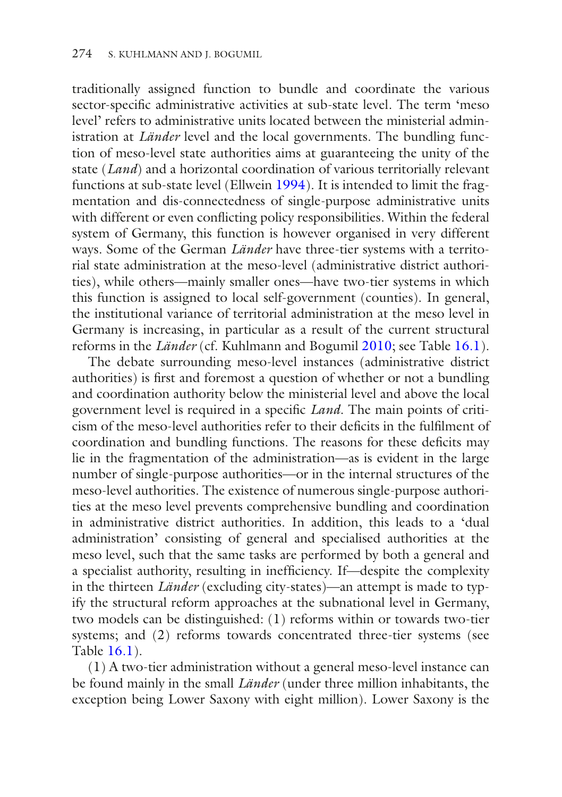traditionally assigned function to bundle and coordinate the various sector-specifc administrative activities at sub-state level. The term 'meso level' refers to administrative units located between the ministerial administration at *Länder* level and the local governments. The bundling function of meso-level state authorities aims at guaranteeing the unity of the state (*Land*) and a horizontal coordination of various territorially relevant functions at sub-state level (Ellwein [1994](#page-17-0)). It is intended to limit the fragmentation and dis-connectedness of single-purpose administrative units with different or even conficting policy responsibilities. Within the federal system of Germany, this function is however organised in very different ways. Some of the German *Länder* have three-tier systems with a territorial state administration at the meso-level (administrative district authorities), while others—mainly smaller ones—have two-tier systems in which this function is assigned to local self-government (counties). In general, the institutional variance of territorial administration at the meso level in Germany is increasing, in particular as a result of the current structural reforms in the *Länder* (cf. Kuhlmann and Bogumil [2010;](#page-17-5) see Table [16.1](#page-2-0)).

The debate surrounding meso-level instances (administrative district authorities) is frst and foremost a question of whether or not a bundling and coordination authority below the ministerial level and above the local government level is required in a specifc *Land*. The main points of criticism of the meso-level authorities refer to their defcits in the fulflment of coordination and bundling functions. The reasons for these defcits may lie in the fragmentation of the administration—as is evident in the large number of single-purpose authorities—or in the internal structures of the meso-level authorities. The existence of numerous single-purpose authorities at the meso level prevents comprehensive bundling and coordination in administrative district authorities. In addition, this leads to a 'dual administration' consisting of general and specialised authorities at the meso level, such that the same tasks are performed by both a general and a specialist authority, resulting in ineffciency. If—despite the complexity in the thirteen *Länder* (excluding city-states)—an attempt is made to typify the structural reform approaches at the subnational level in Germany, two models can be distinguished: (1) reforms within or towards two-tier systems; and (2) reforms towards concentrated three-tier systems (see Table [16.1\)](#page-2-0).

(1) A two-tier administration without a general meso-level instance can be found mainly in the small *Länder* (under three million inhabitants, the exception being Lower Saxony with eight million). Lower Saxony is the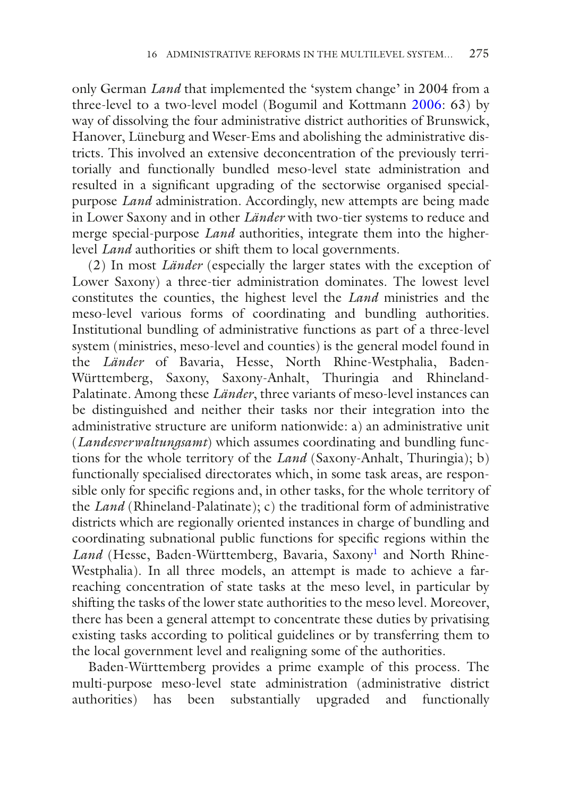only German *Land* that implemented the 'system change' in 2004 from a three-level to a two-level model (Bogumil and Kottmann [2006:](#page-16-1) 63) by way of dissolving the four administrative district authorities of Brunswick, Hanover, Lüneburg and Weser-Ems and abolishing the administrative districts. This involved an extensive deconcentration of the previously territorially and functionally bundled meso-level state administration and resulted in a signifcant upgrading of the sectorwise organised specialpurpose *Land* administration. Accordingly, new attempts are being made in Lower Saxony and in other *Länder* with two-tier systems to reduce and merge special-purpose *Land* authorities, integrate them into the higherlevel *Land* authorities or shift them to local governments.

(2) In most *Länder* (especially the larger states with the exception of Lower Saxony) a three-tier administration dominates. The lowest level constitutes the counties, the highest level the *Land* ministries and the meso-level various forms of coordinating and bundling authorities. Institutional bundling of administrative functions as part of a three-level system (ministries, meso-level and counties) is the general model found in the *Länder* of Bavaria, Hesse, North Rhine-Westphalia, Baden-Württemberg, Saxony, Saxony-Anhalt, Thuringia and Rhineland-Palatinate. Among these *Länder*, three variants of meso-level instances can be distinguished and neither their tasks nor their integration into the administrative structure are uniform nationwide: a) an administrative unit (*Landesverwaltungsamt*) which assumes coordinating and bundling functions for the whole territory of the *Land* (Saxony-Anhalt, Thuringia); b) functionally specialised directorates which, in some task areas, are responsible only for specifc regions and, in other tasks, for the whole territory of the *Land* (Rhineland-Palatinate); c) the traditional form of administrative districts which are regionally oriented instances in charge of bundling and coordinating subnational public functions for specifc regions within the Land (Hesse, Baden-Württemberg, Bavaria, Saxony<sup>[1](#page-16-2)</sup> and North Rhine-Westphalia). In all three models, an attempt is made to achieve a farreaching concentration of state tasks at the meso level, in particular by shifting the tasks of the lower state authorities to the meso level. Moreover, there has been a general attempt to concentrate these duties by privatising existing tasks according to political guidelines or by transferring them to the local government level and realigning some of the authorities.

Baden-Württemberg provides a prime example of this process. The multi-purpose meso-level state administration (administrative district authorities) has been substantially upgraded and functionally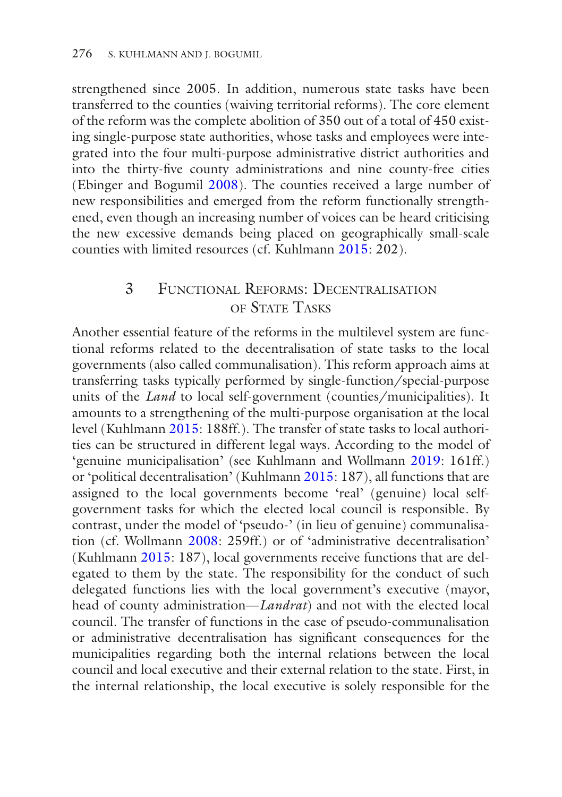strengthened since 2005. In addition, numerous state tasks have been transferred to the counties (waiving territorial reforms). The core element of the reform was the complete abolition of 350 out of a total of 450 existing single-purpose state authorities, whose tasks and employees were integrated into the four multi-purpose administrative district authorities and into the thirty-fve county administrations and nine county-free cities (Ebinger and Bogumil [2008](#page-16-3)). The counties received a large number of new responsibilities and emerged from the reform functionally strengthened, even though an increasing number of voices can be heard criticising the new excessive demands being placed on geographically small-scale counties with limited resources (cf. Kuhlmann [2015](#page-17-6): 202).

## 3 Functional Reforms: Decentralisation OF STATE TASKS

Another essential feature of the reforms in the multilevel system are functional reforms related to the decentralisation of state tasks to the local governments (also called communalisation). This reform approach aims at transferring tasks typically performed by single-function/special-purpose units of the *Land* to local self-government (counties/municipalities). It amounts to a strengthening of the multi-purpose organisation at the local level (Kuhlmann [2015:](#page-17-6) 188ff.). The transfer of state tasks to local authorities can be structured in different legal ways. According to the model of 'genuine municipalisation' (see Kuhlmann and Wollmann [2019](#page-17-2): 161ff.) or 'political decentralisation' (Kuhlmann [2015](#page-17-6): 187), all functions that are assigned to the local governments become 'real' (genuine) local selfgovernment tasks for which the elected local council is responsible. By contrast, under the model of 'pseudo-' (in lieu of genuine) communalisation (cf. Wollmann [2008](#page-18-1): 259ff.) or of 'administrative decentralisation' (Kuhlmann [2015:](#page-17-6) 187), local governments receive functions that are delegated to them by the state. The responsibility for the conduct of such delegated functions lies with the local government's executive (mayor, head of county administration—*Landrat*) and not with the elected local council. The transfer of functions in the case of pseudo-communalisation or administrative decentralisation has signifcant consequences for the municipalities regarding both the internal relations between the local council and local executive and their external relation to the state. First, in the internal relationship, the local executive is solely responsible for the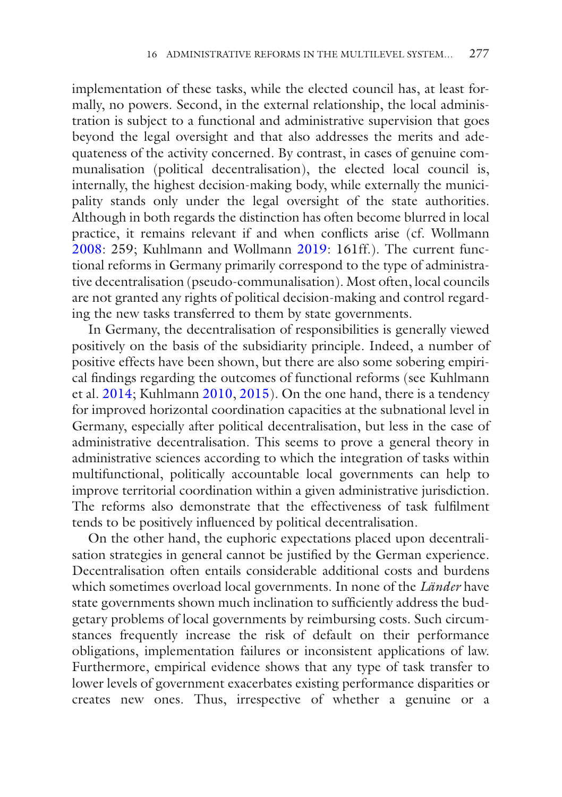implementation of these tasks, while the elected council has, at least formally, no powers. Second, in the external relationship, the local administration is subject to a functional and administrative supervision that goes beyond the legal oversight and that also addresses the merits and adequateness of the activity concerned. By contrast, in cases of genuine communalisation (political decentralisation), the elected local council is, internally, the highest decision-making body, while externally the municipality stands only under the legal oversight of the state authorities. Although in both regards the distinction has often become blurred in local practice, it remains relevant if and when conficts arise (cf. Wollmann [2008](#page-18-1): 259; Kuhlmann and Wollmann [2019](#page-17-2): 161ff.). The current functional reforms in Germany primarily correspond to the type of administrative decentralisation (pseudo-communalisation). Most often, local councils are not granted any rights of political decision-making and control regarding the new tasks transferred to them by state governments.

In Germany, the decentralisation of responsibilities is generally viewed positively on the basis of the subsidiarity principle. Indeed, a number of positive effects have been shown, but there are also some sobering empirical fndings regarding the outcomes of functional reforms (see Kuhlmann et al. [2014;](#page-17-3) Kuhlmann [2010,](#page-17-7) [2015](#page-17-6)). On the one hand, there is a tendency for improved horizontal coordination capacities at the subnational level in Germany, especially after political decentralisation, but less in the case of administrative decentralisation. This seems to prove a general theory in administrative sciences according to which the integration of tasks within multifunctional, politically accountable local governments can help to improve territorial coordination within a given administrative jurisdiction. The reforms also demonstrate that the effectiveness of task fulflment tends to be positively infuenced by political decentralisation.

On the other hand, the euphoric expectations placed upon decentralisation strategies in general cannot be justifed by the German experience. Decentralisation often entails considerable additional costs and burdens which sometimes overload local governments. In none of the *Länder* have state governments shown much inclination to suffciently address the budgetary problems of local governments by reimbursing costs. Such circumstances frequently increase the risk of default on their performance obligations, implementation failures or inconsistent applications of law. Furthermore, empirical evidence shows that any type of task transfer to lower levels of government exacerbates existing performance disparities or creates new ones. Thus, irrespective of whether a genuine or a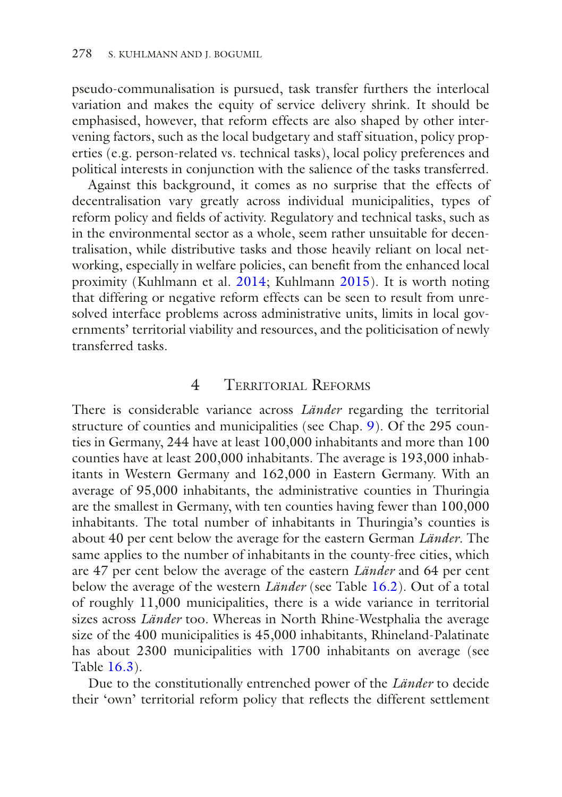pseudo-communalisation is pursued, task transfer furthers the interlocal variation and makes the equity of service delivery shrink. It should be emphasised, however, that reform effects are also shaped by other intervening factors, such as the local budgetary and staff situation, policy properties (e.g. person-related vs. technical tasks), local policy preferences and political interests in conjunction with the salience of the tasks transferred.

Against this background, it comes as no surprise that the effects of decentralisation vary greatly across individual municipalities, types of reform policy and felds of activity. Regulatory and technical tasks, such as in the environmental sector as a whole, seem rather unsuitable for decentralisation, while distributive tasks and those heavily reliant on local networking, especially in welfare policies, can beneft from the enhanced local proximity (Kuhlmann et al. [2014;](#page-17-3) Kuhlmann [2015](#page-17-6)). It is worth noting that differing or negative reform effects can be seen to result from unresolved interface problems across administrative units, limits in local governments' territorial viability and resources, and the politicisation of newly transferred tasks.

#### 4 Territorial Reforms

There is considerable variance across *Länder* regarding the territorial structure of counties and municipalities (see Chap. [9\)](https://doi.org/10.1007/978-3-030-53697-8_9). Of the 295 counties in Germany, 244 have at least 100,000 inhabitants and more than 100 counties have at least 200,000 inhabitants. The average is 193,000 inhabitants in Western Germany and 162,000 in Eastern Germany. With an average of 95,000 inhabitants, the administrative counties in Thuringia are the smallest in Germany, with ten counties having fewer than 100,000 inhabitants. The total number of inhabitants in Thuringia's counties is about 40 per cent below the average for the eastern German *Länder*. The same applies to the number of inhabitants in the county-free cities, which are 47 per cent below the average of the eastern *Länder* and 64 per cent below the average of the western *Länder* (see Table [16.2](#page-8-0)). Out of a total of roughly 11,000 municipalities, there is a wide variance in territorial sizes across *Länder* too. Whereas in North Rhine-Westphalia the average size of the 400 municipalities is 45,000 inhabitants, Rhineland-Palatinate has about 2300 municipalities with 1700 inhabitants on average (see Table [16.3\)](#page-9-0).

Due to the constitutionally entrenched power of the *Länder* to decide their 'own' territorial reform policy that refects the different settlement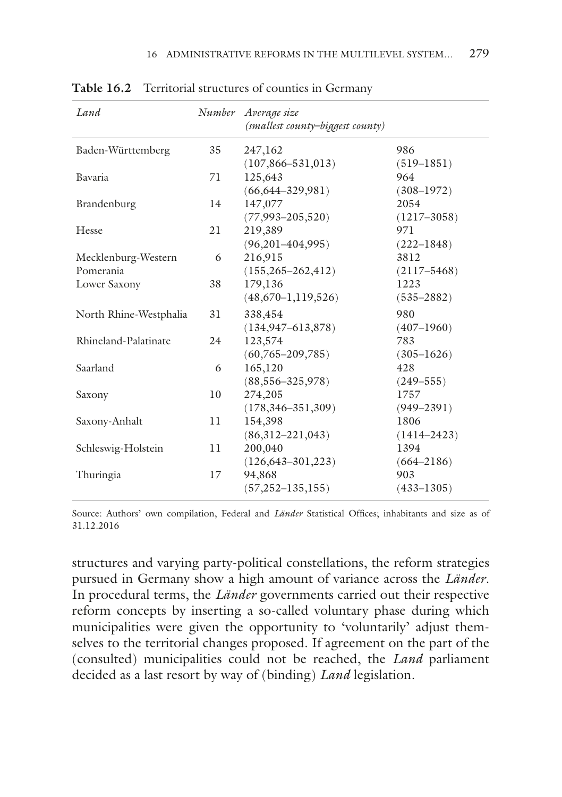| Number | Average size<br>(smallest county-biggest county) |                 |
|--------|--------------------------------------------------|-----------------|
| 35     | 247,162                                          | 986             |
|        | $(107, 866 - 531, 013)$                          | $(519 - 1851)$  |
| 71     | 125,643                                          | 964             |
|        | $(66, 644 - 329, 981)$                           | $(308 - 1972)$  |
| 14     | 147,077                                          | 2054            |
|        | $(77,993 - 205,520)$                             | $(1217 - 3058)$ |
| 21     | 219,389                                          | 971             |
|        | $(96,201-404,995)$                               | $(222 - 1848)$  |
| 6      | 216,915                                          | 3812            |
|        | $(155, 265 - 262, 412)$                          | $(2117 - 5468)$ |
| 38     | 179,136                                          | 1223            |
|        | $(48,670-1,119,526)$                             | $(535 - 2882)$  |
| 31     | 338,454                                          | 980             |
|        | $(134, 947 - 613, 878)$                          | $(407-1960)$    |
| 2.4    | 123,574                                          | 783             |
|        | $(60,765 - 209,785)$                             | $(305 - 1626)$  |
| 6      | 165,120                                          | 428             |
|        | $(88,556 - 325,978)$                             | $(249 - 555)$   |
| 10     | 274,205                                          | 1757            |
|        | $(178, 346 - 351, 309)$                          | $(949 - 2391)$  |
| 11     | 154,398                                          | 1806            |
|        | $(86,312-221,043)$                               | $(1414 - 2423)$ |
| 11     | 200,040                                          | 1394            |
|        | $(126, 643 - 301, 223)$                          | $(664 - 2186)$  |
| 17     | 94,868                                           | 903             |
|        | $(57, 252 - 135, 155)$                           | $(433 - 1305)$  |
|        |                                                  |                 |

<span id="page-8-0"></span>Table 16.2 Territorial structures of counties in Germany

Source: Authors' own compilation, Federal and *Länder* Statistical Offices; inhabitants and size as of 31.12.2016

structures and varying party-political constellations, the reform strategies pursued in Germany show a high amount of variance across the *Länder*. In procedural terms, the *Länder* governments carried out their respective reform concepts by inserting a so-called voluntary phase during which municipalities were given the opportunity to 'voluntarily' adjust themselves to the territorial changes proposed. If agreement on the part of the (consulted) municipalities could not be reached, the *Land* parliament decided as a last resort by way of (binding) *Land* legislation.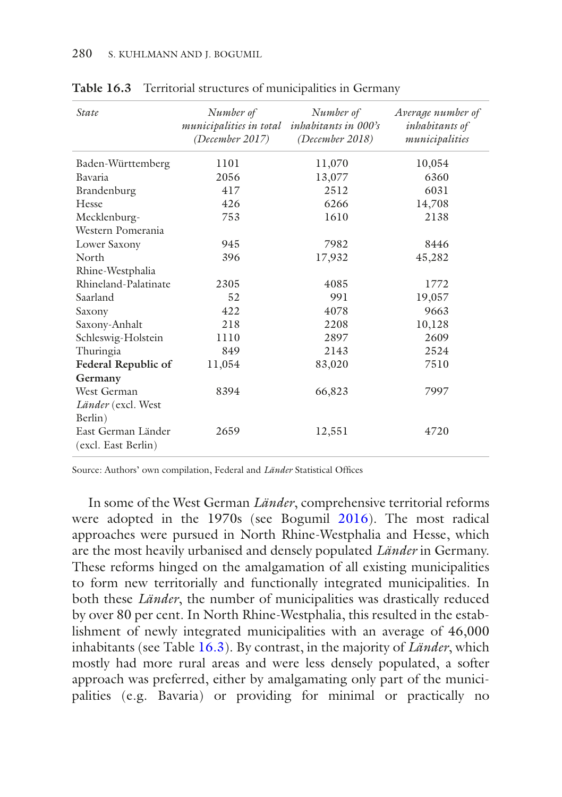| <b>State</b>                              | Number of<br>municipalities in total<br>(December 2017) | Number of<br><i>inhabitants in 000's</i><br>(December 2018) | Average number of<br>inhabitants of<br>municipalities |
|-------------------------------------------|---------------------------------------------------------|-------------------------------------------------------------|-------------------------------------------------------|
| Baden-Württemberg                         | 1101                                                    | 11,070                                                      | 10,054                                                |
| <b>Bavaria</b>                            | 2056                                                    | 13,077                                                      | 6360                                                  |
| Brandenburg                               | 417                                                     | 2512                                                        | 6031                                                  |
| Hesse                                     | 426                                                     | 6266                                                        | 14,708                                                |
| Mecklenburg-                              | 753                                                     | 1610                                                        | 2138                                                  |
| Western Pomerania                         |                                                         |                                                             |                                                       |
| Lower Saxony                              | 945                                                     | 7982                                                        | 8446                                                  |
| North                                     | 396                                                     | 17,932                                                      | 45,282                                                |
| Rhine-Westphalia                          |                                                         |                                                             |                                                       |
| Rhineland-Palatinate                      | 2305                                                    | 4085                                                        | 1772                                                  |
| Saarland                                  | 52                                                      | 991                                                         | 19,057                                                |
| Saxony                                    | 422                                                     | 4078                                                        | 9663                                                  |
| Saxony-Anhalt                             | 218                                                     | 2208                                                        | 10,128                                                |
| Schleswig-Holstein                        | 1110                                                    | 2897                                                        | 2609                                                  |
| Thuringia                                 | 849                                                     | 2143                                                        | 2524                                                  |
| Federal Republic of                       | 11,054                                                  | 83,020                                                      | 7510                                                  |
| Germany                                   |                                                         |                                                             |                                                       |
| West German                               | 8394                                                    | 66,823                                                      | 7997                                                  |
| Länder (excl. West                        |                                                         |                                                             |                                                       |
| Berlin)                                   |                                                         |                                                             |                                                       |
| East German Länder<br>(excl. East Berlin) | 2659                                                    | 12,551                                                      | 4720                                                  |

<span id="page-9-0"></span>**Table 16.3** Territorial structures of municipalities in Germany

Source: Authors' own compilation, Federal and *Länder* Statistical Offices

In some of the West German *Länder*, comprehensive territorial reforms were adopted in the 1970s (see Bogumil [2016](#page-16-0)). The most radical approaches were pursued in North Rhine-Westphalia and Hesse, which are the most heavily urbanised and densely populated *Länder* in Germany. These reforms hinged on the amalgamation of all existing municipalities to form new territorially and functionally integrated municipalities. In both these *Länder*, the number of municipalities was drastically reduced by over 80 per cent. In North Rhine-Westphalia, this resulted in the establishment of newly integrated municipalities with an average of 46,000 inhabitants (see Table [16.3\)](#page-9-0). By contrast, in the majority of *Länder*, which mostly had more rural areas and were less densely populated, a softer approach was preferred, either by amalgamating only part of the municipalities (e.g. Bavaria) or providing for minimal or practically no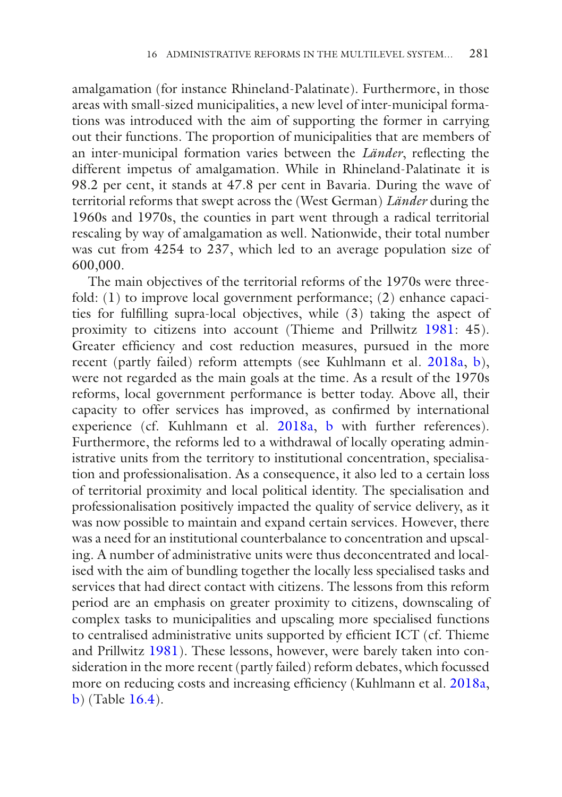amalgamation (for instance Rhineland-Palatinate). Furthermore, in those areas with small-sized municipalities, a new level of inter-municipal formations was introduced with the aim of supporting the former in carrying out their functions. The proportion of municipalities that are members of an inter-municipal formation varies between the *Länder*, refecting the different impetus of amalgamation. While in Rhineland-Palatinate it is 98.2 per cent, it stands at 47.8 per cent in Bavaria. During the wave of territorial reforms that swept across the (West German) *Länder* during the 1960s and 1970s, the counties in part went through a radical territorial rescaling by way of amalgamation as well. Nationwide, their total number was cut from 4254 to 237, which led to an average population size of 600,000.

The main objectives of the territorial reforms of the 1970s were threefold: (1) to improve local government performance; (2) enhance capacities for fulflling supra-local objectives, while (3) taking the aspect of proximity to citizens into account (Thieme and Prillwitz [1981:](#page-17-8) 45). Greater efficiency and cost reduction measures, pursued in the more recent (partly failed) reform attempts (see Kuhlmann et al. [2018a](#page-17-9), [b](#page-17-10)), were not regarded as the main goals at the time. As a result of the 1970s reforms, local government performance is better today. Above all, their capacity to offer services has improved, as confrmed by international experience (cf. Kuhlmann et al. [2018a](#page-17-9), [b](#page-17-10) with further references). Furthermore, the reforms led to a withdrawal of locally operating administrative units from the territory to institutional concentration, specialisation and professionalisation. As a consequence, it also led to a certain loss of territorial proximity and local political identity. The specialisation and professionalisation positively impacted the quality of service delivery, as it was now possible to maintain and expand certain services. However, there was a need for an institutional counterbalance to concentration and upscaling. A number of administrative units were thus deconcentrated and localised with the aim of bundling together the locally less specialised tasks and services that had direct contact with citizens. The lessons from this reform period are an emphasis on greater proximity to citizens, downscaling of complex tasks to municipalities and upscaling more specialised functions to centralised administrative units supported by efficient ICT (cf. Thieme and Prillwitz [1981\)](#page-17-8). These lessons, however, were barely taken into consideration in the more recent (partly failed) reform debates, which focussed more on reducing costs and increasing efficiency (Kuhlmann et al. [2018a,](#page-17-9) [b](#page-17-10)) (Table [16.4\)](#page-11-0).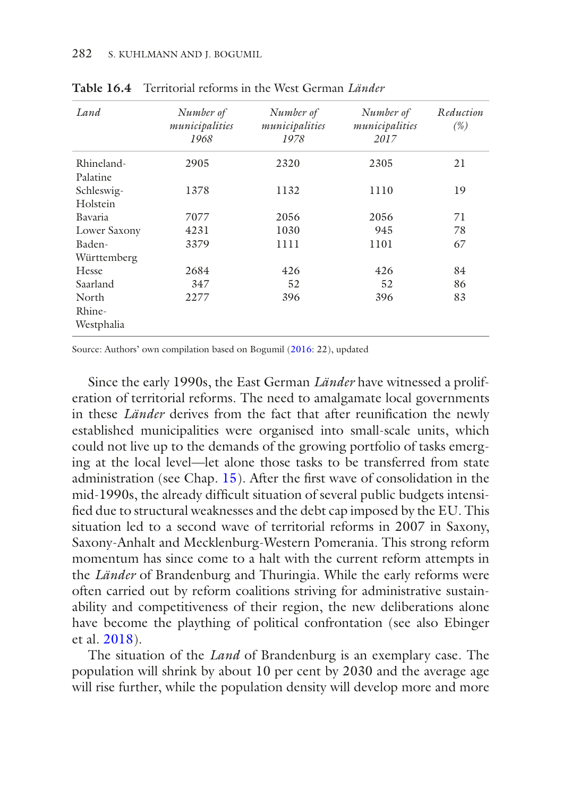| Land         | Number of<br>municipalities<br>1968 | Number of<br>municipalities<br>1978 | Number of<br>municipalities<br>2017 | Reduction<br>(%) |
|--------------|-------------------------------------|-------------------------------------|-------------------------------------|------------------|
| Rhineland-   | 2905                                | 2320                                | 2305                                | 21               |
| Palatine     |                                     |                                     |                                     |                  |
| Schleswig-   | 1378                                | 1132                                | 1110                                | 19               |
| Holstein     |                                     |                                     |                                     |                  |
| Bavaria      | 7077                                | 2056                                | 2056                                | 71               |
| Lower Saxony | 4231                                | 1030                                | 945                                 | 78               |
| Baden-       | 3379                                | 1111                                | 1101                                | 67               |
| Württemberg  |                                     |                                     |                                     |                  |
| Hesse        | 2684                                | 426                                 | 426                                 | 84               |
| Saarland     | 347                                 | 52                                  | 52                                  | 86               |
| North        | 2277                                | 396                                 | 396                                 | 83               |
| Rhine-       |                                     |                                     |                                     |                  |
| Westphalia   |                                     |                                     |                                     |                  |

<span id="page-11-0"></span>**Table 16.4** Territorial reforms in the West German *Länder*

Source: Authors' own compilation based on Bogumil [\(2016:](#page-16-0) 22), updated

Since the early 1990s, the East German *Länder* have witnessed a proliferation of territorial reforms. The need to amalgamate local governments in these *Länder* derives from the fact that after reunifcation the newly established municipalities were organised into small-scale units, which could not live up to the demands of the growing portfolio of tasks emerging at the local level—let alone those tasks to be transferred from state administration (see Chap. [15](https://doi.org/10.1007/978-3-030-53697-8_15)). After the frst wave of consolidation in the mid-1990s, the already diffcult situation of several public budgets intensifed due to structural weaknesses and the debt cap imposed by the EU. This situation led to a second wave of territorial reforms in 2007 in Saxony, Saxony-Anhalt and Mecklenburg-Western Pomerania. This strong reform momentum has since come to a halt with the current reform attempts in the *Länder* of Brandenburg and Thuringia. While the early reforms were often carried out by reform coalitions striving for administrative sustainability and competitiveness of their region, the new deliberations alone have become the plaything of political confrontation (see also Ebinger et al. [2018\)](#page-17-1).

The situation of the *Land* of Brandenburg is an exemplary case. The population will shrink by about 10 per cent by 2030 and the average age will rise further, while the population density will develop more and more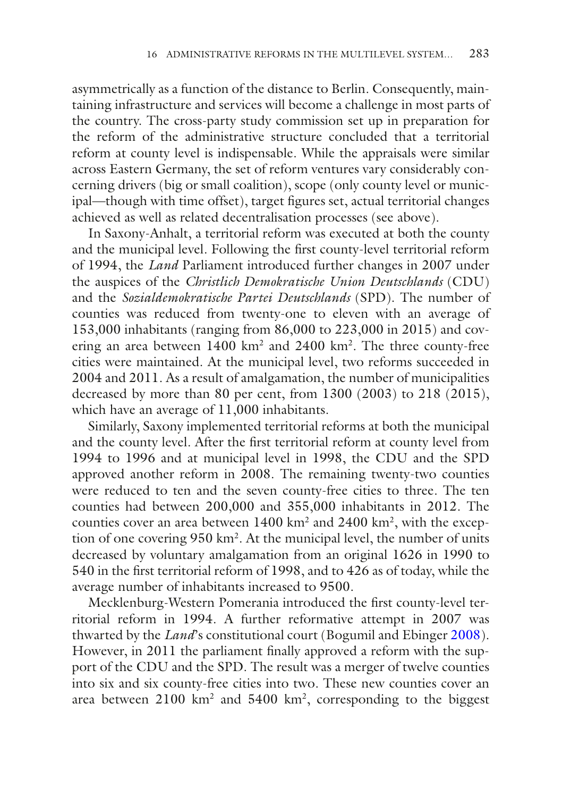asymmetrically as a function of the distance to Berlin. Consequently, maintaining infrastructure and services will become a challenge in most parts of the country. The cross-party study commission set up in preparation for the reform of the administrative structure concluded that a territorial reform at county level is indispensable. While the appraisals were similar across Eastern Germany, the set of reform ventures vary considerably concerning drivers (big or small coalition), scope (only county level or municipal—though with time offset), target fgures set, actual territorial changes achieved as well as related decentralisation processes (see above).

In Saxony-Anhalt, a territorial reform was executed at both the county and the municipal level. Following the frst county-level territorial reform of 1994, the *Land* Parliament introduced further changes in 2007 under the auspices of the *Christlich Demokratische Union Deutschlands* (CDU) and the *Sozialdemokratische Partei Deutschlands* (SPD). The number of counties was reduced from twenty-one to eleven with an average of 153,000 inhabitants (ranging from 86,000 to 223,000 in 2015) and covering an area between 1400 km<sup>2</sup> and 2400 km<sup>2</sup>. The three county-free cities were maintained. At the municipal level, two reforms succeeded in 2004 and 2011. As a result of amalgamation, the number of municipalities decreased by more than 80 per cent, from 1300 (2003) to 218 (2015), which have an average of 11,000 inhabitants.

Similarly, Saxony implemented territorial reforms at both the municipal and the county level. After the frst territorial reform at county level from 1994 to 1996 and at municipal level in 1998, the CDU and the SPD approved another reform in 2008. The remaining twenty-two counties were reduced to ten and the seven county-free cities to three. The ten counties had between 200,000 and 355,000 inhabitants in 2012. The counties cover an area between 1400 km<sup>2</sup> and 2400 km<sup>2</sup>, with the exception of one covering 950 km2. At the municipal level, the number of units decreased by voluntary amalgamation from an original 1626 in 1990 to 540 in the frst territorial reform of 1998, and to 426 as of today, while the average number of inhabitants increased to 9500.

Mecklenburg-Western Pomerania introduced the frst county-level territorial reform in 1994. A further reformative attempt in 2007 was thwarted by the *Land*'s constitutional court (Bogumil and Ebinger [2008](#page-16-4)). However, in 2011 the parliament fnally approved a reform with the support of the CDU and the SPD. The result was a merger of twelve counties into six and six county-free cities into two. These new counties cover an area between  $2100 \text{ km}^2$  and  $5400 \text{ km}^2$ , corresponding to the biggest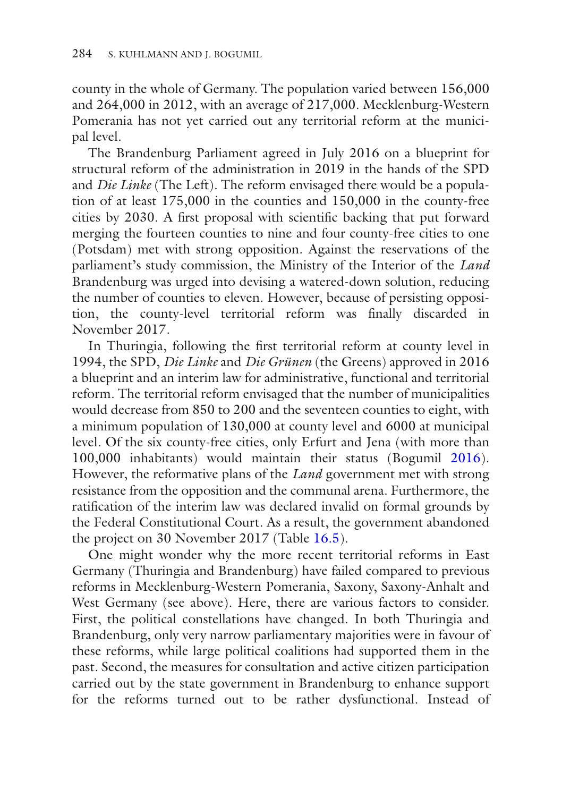county in the whole of Germany. The population varied between 156,000 and 264,000 in 2012, with an average of 217,000. Mecklenburg-Western Pomerania has not yet carried out any territorial reform at the municipal level.

The Brandenburg Parliament agreed in July 2016 on a blueprint for structural reform of the administration in 2019 in the hands of the SPD and *Die Linke* (The Left). The reform envisaged there would be a population of at least 175,000 in the counties and 150,000 in the county-free cities by 2030. A frst proposal with scientifc backing that put forward merging the fourteen counties to nine and four county-free cities to one (Potsdam) met with strong opposition. Against the reservations of the parliament's study commission, the Ministry of the Interior of the *Land* Brandenburg was urged into devising a watered-down solution, reducing the number of counties to eleven. However, because of persisting opposition, the county-level territorial reform was fnally discarded in November 2017.

In Thuringia, following the frst territorial reform at county level in 1994, the SPD, *Die Linke* and *Die Grünen* (the Greens) approved in 2016 a blueprint and an interim law for administrative, functional and territorial reform. The territorial reform envisaged that the number of municipalities would decrease from 850 to 200 and the seventeen counties to eight, with a minimum population of 130,000 at county level and 6000 at municipal level. Of the six county-free cities, only Erfurt and Jena (with more than 100,000 inhabitants) would maintain their status (Bogumil [2016](#page-16-0)). However, the reformative plans of the *Land* government met with strong resistance from the opposition and the communal arena. Furthermore, the ratifcation of the interim law was declared invalid on formal grounds by the Federal Constitutional Court. As a result, the government abandoned the project on 30 November 2017 (Table [16.5\)](#page-14-0).

One might wonder why the more recent territorial reforms in East Germany (Thuringia and Brandenburg) have failed compared to previous reforms in Mecklenburg-Western Pomerania, Saxony, Saxony-Anhalt and West Germany (see above). Here, there are various factors to consider. First, the political constellations have changed. In both Thuringia and Brandenburg, only very narrow parliamentary majorities were in favour of these reforms, while large political coalitions had supported them in the past. Second, the measures for consultation and active citizen participation carried out by the state government in Brandenburg to enhance support for the reforms turned out to be rather dysfunctional. Instead of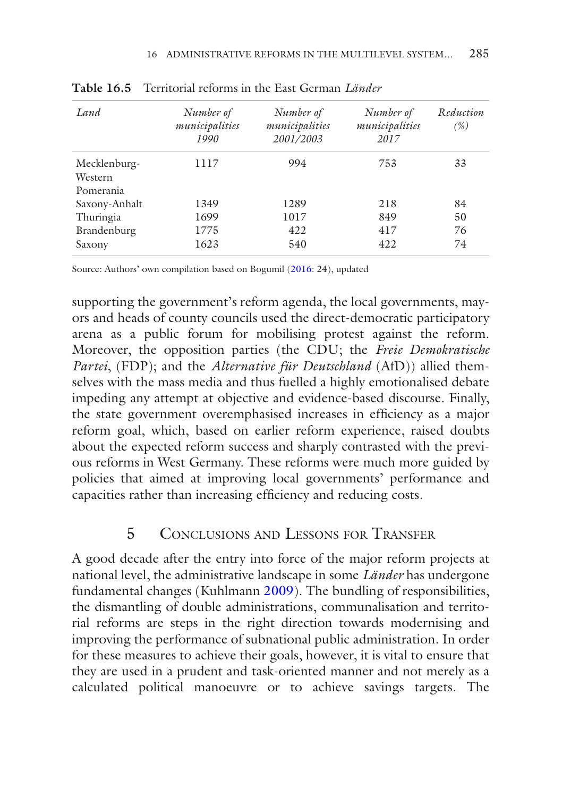| Land                                 | Number of<br>municipalities<br>1990 | Number of<br>municipalities<br>2001/2003 | Number of<br>municipalities<br>2017 | Reduction<br>(%) |
|--------------------------------------|-------------------------------------|------------------------------------------|-------------------------------------|------------------|
| Mecklenburg-<br>Western<br>Pomerania | 1117                                | 994                                      | 753                                 | 33               |
| Saxony-Anhalt                        | 1349                                | 1289                                     | 218                                 | 84               |
| Thuringia                            | 1699                                | 1017                                     | 849                                 | 50               |
| Brandenburg                          | 1775                                | 422                                      | 417                                 | 76               |
| Saxony                               | 1623                                | 540                                      | 422                                 | 74               |

<span id="page-14-0"></span>**Table 16.5** Territorial reforms in the East German *Länder*

Source: Authors' own compilation based on Bogumil [\(2016:](#page-16-0) 24), updated

supporting the government's reform agenda, the local governments, mayors and heads of county councils used the direct-democratic participatory arena as a public forum for mobilising protest against the reform. Moreover, the opposition parties (the CDU; the *Freie Demokratische Partei*, (FDP); and the *Alternative für Deutschland* (AfD)) allied themselves with the mass media and thus fuelled a highly emotionalised debate impeding any attempt at objective and evidence-based discourse. Finally, the state government overemphasised increases in efficiency as a major reform goal, which, based on earlier reform experience, raised doubts about the expected reform success and sharply contrasted with the previous reforms in West Germany. These reforms were much more guided by policies that aimed at improving local governments' performance and capacities rather than increasing efficiency and reducing costs.

#### 5 Conclusions and Lessons for Transfer

A good decade after the entry into force of the major reform projects at national level, the administrative landscape in some *Länder* has undergone fundamental changes (Kuhlmann [2009](#page-17-11)). The bundling of responsibilities, the dismantling of double administrations, communalisation and territorial reforms are steps in the right direction towards modernising and improving the performance of subnational public administration. In order for these measures to achieve their goals, however, it is vital to ensure that they are used in a prudent and task-oriented manner and not merely as a calculated political manoeuvre or to achieve savings targets. The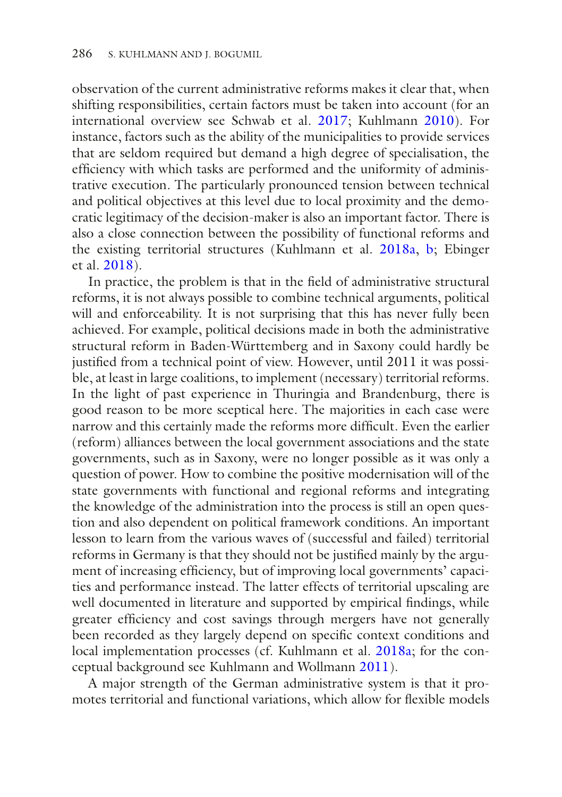observation of the current administrative reforms makes it clear that, when shifting responsibilities, certain factors must be taken into account (for an international overview see Schwab et al. [2017;](#page-17-12) Kuhlmann [2010](#page-17-7)). For instance, factors such as the ability of the municipalities to provide services that are seldom required but demand a high degree of specialisation, the effciency with which tasks are performed and the uniformity of administrative execution. The particularly pronounced tension between technical and political objectives at this level due to local proximity and the democratic legitimacy of the decision-maker is also an important factor. There is also a close connection between the possibility of functional reforms and the existing territorial structures (Kuhlmann et al. [2018a](#page-17-9), [b;](#page-17-10) Ebinger et al. [2018\)](#page-17-1).

In practice, the problem is that in the feld of administrative structural reforms, it is not always possible to combine technical arguments, political will and enforceability. It is not surprising that this has never fully been achieved. For example, political decisions made in both the administrative structural reform in Baden-Württemberg and in Saxony could hardly be justifed from a technical point of view. However, until 2011 it was possible, at least in large coalitions, to implement (necessary) territorial reforms. In the light of past experience in Thuringia and Brandenburg, there is good reason to be more sceptical here. The majorities in each case were narrow and this certainly made the reforms more diffcult. Even the earlier (reform) alliances between the local government associations and the state governments, such as in Saxony, were no longer possible as it was only a question of power. How to combine the positive modernisation will of the state governments with functional and regional reforms and integrating the knowledge of the administration into the process is still an open question and also dependent on political framework conditions. An important lesson to learn from the various waves of (successful and failed) territorial reforms in Germany is that they should not be justifed mainly by the argument of increasing efficiency, but of improving local governments' capacities and performance instead. The latter effects of territorial upscaling are well documented in literature and supported by empirical fndings, while greater efficiency and cost savings through mergers have not generally been recorded as they largely depend on specifc context conditions and local implementation processes (cf. Kuhlmann et al. [2018a](#page-17-9); for the conceptual background see Kuhlmann and Wollmann [2011\)](#page-17-4).

A major strength of the German administrative system is that it promotes territorial and functional variations, which allow for fexible models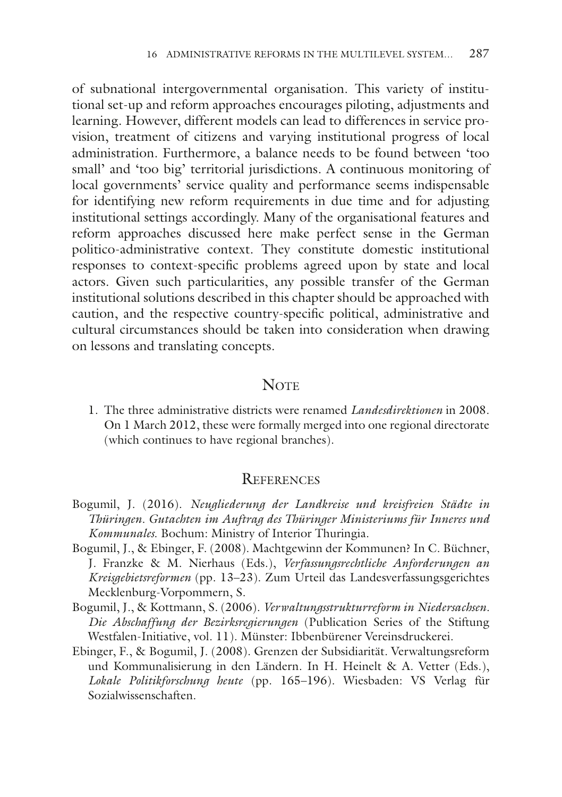of subnational intergovernmental organisation. This variety of institutional set-up and reform approaches encourages piloting, adjustments and learning. However, different models can lead to differences in service provision, treatment of citizens and varying institutional progress of local administration. Furthermore, a balance needs to be found between 'too small' and 'too big' territorial jurisdictions. A continuous monitoring of local governments' service quality and performance seems indispensable for identifying new reform requirements in due time and for adjusting institutional settings accordingly. Many of the organisational features and reform approaches discussed here make perfect sense in the German politico-administrative context. They constitute domestic institutional responses to context-specifc problems agreed upon by state and local actors. Given such particularities, any possible transfer of the German institutional solutions described in this chapter should be approached with caution, and the respective country-specifc political, administrative and cultural circumstances should be taken into consideration when drawing on lessons and translating concepts.

#### **NOTE**

<span id="page-16-2"></span>1. The three administrative districts were renamed *Landesdirektionen* in 2008. On 1 March 2012, these were formally merged into one regional directorate (which continues to have regional branches).

#### **REFERENCES**

- <span id="page-16-0"></span>Bogumil, J. (2016). *Neugliederung der Landkreise und kreisfreien Städte in Thüringen. Gutachten im Auftrag des Thüringer Ministeriums für Inneres und Kommunales*. Bochum: Ministry of Interior Thuringia.
- <span id="page-16-4"></span>Bogumil, J., & Ebinger, F. (2008). Machtgewinn der Kommunen? In C. Büchner, J. Franzke & M. Nierhaus (Eds.), *Verfassungsrechtliche Anforderungen an Kreisgebietsreformen* (pp. 13–23). Zum Urteil das Landesverfassungsgerichtes Mecklenburg-Vorpommern, S.
- <span id="page-16-1"></span>Bogumil, J., & Kottmann, S. (2006). *Verwaltungsstrukturreform in Niedersachsen. Die Abschaffung der Bezirksregierungen* (Publication Series of the Stiftung Westfalen-Initiative, vol. 11). Münster: Ibbenbürener Vereinsdruckerei.
- <span id="page-16-3"></span>Ebinger, F., & Bogumil, J. (2008). Grenzen der Subsidiarität. Verwaltungsreform und Kommunalisierung in den Ländern. In H. Heinelt & A. Vetter (Eds.), *Lokale Politikforschung heute* (pp. 165–196). Wiesbaden: VS Verlag für Sozialwissenschaften.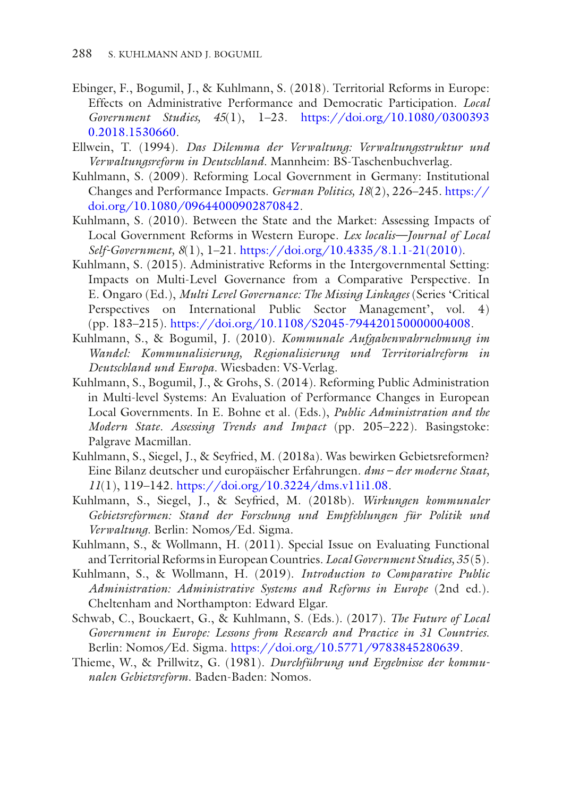- <span id="page-17-1"></span>Ebinger, F., Bogumil, J., & Kuhlmann, S. (2018). Territorial Reforms in Europe: Effects on Administrative Performance and Democratic Participation. *Local Government Studies, 45*(1), 1–23. [https://doi.org/10.1080/0300393](https://doi.org/10.1080/03003930.2018.1530660) [0.2018.1530660](https://doi.org/10.1080/03003930.2018.1530660).
- <span id="page-17-0"></span>Ellwein, T. (1994). *Das Dilemma der Verwaltung: Verwaltungsstruktur und Verwaltungsreform in Deutschland*. Mannheim: BS-Taschenbuchverlag.
- <span id="page-17-11"></span>Kuhlmann, S. (2009). Reforming Local Government in Germany: Institutional Changes and Performance Impacts. *German Politics, 18*(2), 226–245. [https://](https://doi.org/10.1080/09644000902870842) [doi.org/10.1080/09644000902870842.](https://doi.org/10.1080/09644000902870842)
- <span id="page-17-7"></span>Kuhlmann, S. (2010). Between the State and the Market: Assessing Impacts of Local Government Reforms in Western Europe. *Lex localis—Journal of Local Self-Government, 8*(1), 1–21. [https://doi.org/10.4335/8.1.1-21\(2010\)](https://doi.org/10.4335/8.1.1-21(2010)).
- <span id="page-17-6"></span>Kuhlmann, S. (2015). Administrative Reforms in the Intergovernmental Setting: Impacts on Multi-Level Governance from a Comparative Perspective. In E. Ongaro (Ed.), *Multi Level Governance: The Missing Linkages* (Series 'Critical Perspectives on International Public Sector Management', vol. 4) (pp. 183–215). [https://doi.org/10.1108/S2045-794420150000004008.](https://doi.org/10.1108/S2045-794420150000004008)
- <span id="page-17-5"></span>Kuhlmann, S., & Bogumil, J. (2010). *Kommunale Aufgabenwahrnehmung im Wandel: Kommunalisierung, Regionalisierung und Territorialreform in Deutschland und Europa*. Wiesbaden: VS-Verlag.
- <span id="page-17-3"></span>Kuhlmann, S., Bogumil, J., & Grohs, S. (2014). Reforming Public Administration in Multi-level Systems: An Evaluation of Performance Changes in European Local Governments. In E. Bohne et al. (Eds.), *Public Administration and the Modern State. Assessing Trends and Impact* (pp. 205–222). Basingstoke: Palgrave Macmillan.
- <span id="page-17-9"></span>Kuhlmann, S., Siegel, J., & Seyfried, M. (2018a). Was bewirken Gebietsreformen? Eine Bilanz deutscher und europäischer Erfahrungen. *dms – der moderne Staat, 11*(1), 119–142. <https://doi.org/10.3224/dms.v11i1.08>.
- <span id="page-17-10"></span>Kuhlmann, S., Siegel, J., & Seyfried, M. (2018b). *Wirkungen kommunaler Gebietsreformen: Stand der Forschung und Empfehlungen für Politik und Verwaltung*. Berlin: Nomos/Ed. Sigma.
- <span id="page-17-4"></span>Kuhlmann, S., & Wollmann, H. (2011). Special Issue on Evaluating Functional and Territorial Reforms in European Countries. *Local Government Studies, 35* (5).
- <span id="page-17-2"></span>Kuhlmann, S., & Wollmann, H. (2019). *Introduction to Comparative Public Administration: Administrative Systems and Reforms in Europe* (2nd ed.). Cheltenham and Northampton: Edward Elgar.
- <span id="page-17-12"></span>Schwab, C., Bouckaert, G., & Kuhlmann, S. (Eds.). (2017). *The Future of Local Government in Europe: Lessons from Research and Practice in 31 Countries*. Berlin: Nomos/Ed. Sigma. [https://doi.org/10.5771/9783845280639.](https://doi.org/10.5771/9783845280639)
- <span id="page-17-8"></span>Thieme, W., & Prillwitz, G. (1981). *Durchführung und Ergebnisse der kommunalen Gebietsreform*. Baden-Baden: Nomos.